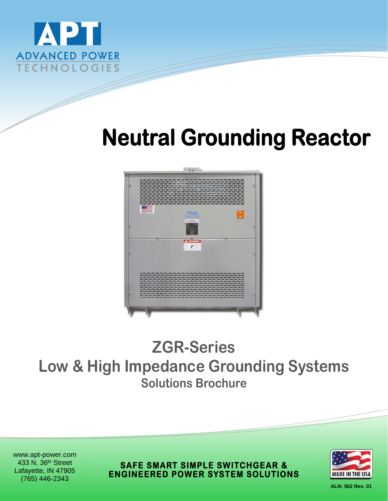

# **Neutral Grounding Reactor**



## **ZGR-Series Low & High Impedance Grounding Systems Solutions Brochure**

www.apt-power.com 433 N. 36th Street Lafayette, IN 47905 (765) 446-2343

**SAFE SMART SIMPLE SWITCHGEAR & ENGINEERED POWER SYSTEM SOLUTIONS** 



**ALN: 562 Rev. 01**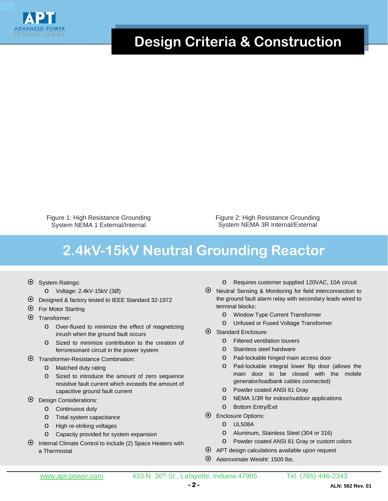

#### **Design Criteria & Construction**

Figure 1: High Resistance Grounding System NEMA 1 External/Internal

Figure 2: High Resistance Grounding System NEMA 3R Internal/External

### **2.4kV-15kV Neutral Grounding Reactor**

- System Ratings:
	- o Voltage: 2.4kV-15kV (3Ø)
- Designed & factory tested to IEEE Standard 32-1972
- $\odot$  For Motor Starting
- Transformer:
	- o Over-fluxed to minimize the effect of magnetizing inrush when the ground fault occurs
	- o Sized to minimize contribution to the creation of ferroresonant circuit in the power system
- Transformer-Resistance Combination:
	- o Matched duty rating
	- o Sized to introduce the amount of zero sequence resistive fault current which exceeds the amount of capacitive ground fault current
- Design Considerations:
	- o Continuous duty
	- o Total system capacitance
	- o High re-striking voltages
	- o Capacity provided for system expansion
- $\odot$  Internal Climate Control to include (2) Space Heaters with a Thermostat
- o Requires customer supplied 120VAC, 10A circuit
- Neutral Sensing & Monitoring for field interconnection to the ground fault alarm relay with secondary leads wired to terminal blocks:
	- o Window Type Current Transformer
	- o Unfused or Fused Voltage Transformer
- Standard Enclosure:
	- o Filtered ventilation louvers
	- o Stainless steel hardware
	- o Pad-lockable hinged main access door
	- o Pad-lockable integral lower flip door (allows the main door to be closed with the mobile generator/loadbank cables connected)
	- o Powder coated ANSI 61 Gray
	- o NEMA 1/3R for indoor/outdoor applications
	- o Bottom Entry/Exit
- $\odot$  Enclosure Options:
	- o UL508A
	- o Aluminum, Stainless Steel (304 or 316)
	- o Powder coated ANSI 61 Gray or custom colors
- APT design calculations available upon request
- Approximate Weight: 1500 lbs.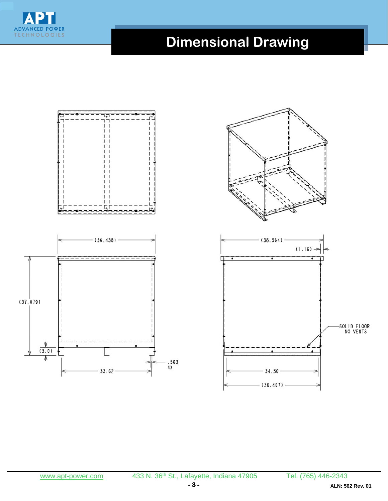

## **Dimensional Drawing**

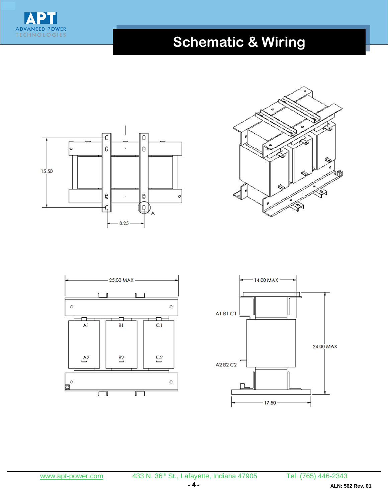

## **Schematic & Wiring**







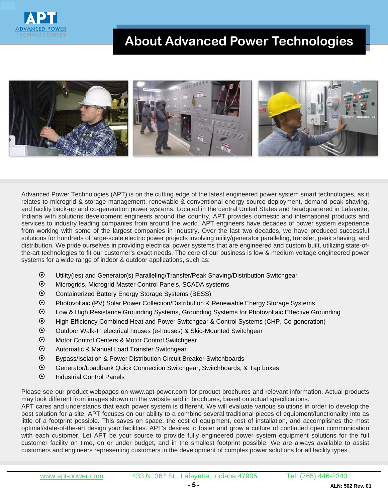

#### **About Advanced Power Technologies**



Advanced Power Technologies (APT) is on the cutting edge of the latest engineered power system smart technologies, as it relates to microgrid & storage management, renewable & conventional energy source deployment, demand peak shaving, and facility back-up and co-generation power systems. Located in the central United States and headquartered in Lafayette, Indiana with solutions development engineers around the country, APT provides domestic and international products and services to industry leading companies from around the world. APT engineers have decades of power system experience from working with some of the largest companies in industry. Over the last two decades, we have produced successful solutions for hundreds of large-scale electric power projects involving utility/generator paralleling, transfer, peak shaving, and distribution. We pride ourselves in providing electrical power systems that are engineered and custom built, utilizing state-ofthe-art technologies to fit our customer's exact needs. The core of our business is low & medium voltage engineered power systems for a wide range of indoor & outdoor applications, such as:

- Utility(ies) and Generator(s) Paralleling/Transfer/Peak Shaving/Distribution Switchgear
- Microgrids, Microgrid Master Control Panels, SCADA systems
- Containerized Battery Energy Storage Systems (BESS)
- Photovoltaic (PV) Solar Power Collection/Distribution & Renewable Energy Storage Systems
- Low & High Resistance Grounding Systems, Grounding Systems for Photovoltaic Effective Grounding
- High Efficiency Combined Heat and Power Switchgear & Control Systems (CHP, Co-generation)
- Outdoor Walk-In electrical houses (e-houses) & Skid-Mounted Switchgear
- Motor Control Centers & Motor Control Switchgear
- Automatic & Manual Load Transfer Switchgear
- Bypass/Isolation & Power Distribution Circuit Breaker Switchboards
- Generator/Loadbank Quick Connection Switchgear, Switchboards, & Tap boxes
- $\odot$  Industrial Control Panels

Please see our product webpages on www.apt-power.com for product brochures and relevant information. Actual products may look different from images shown on the website and in brochures, based on actual specifications.

APT cares and understands that each power system is different. We will evaluate various solutions in order to develop the best solution for a site. APT focuses on our ability to a combine several traditional pieces of equipment/functionality into as little of a footprint possible. This saves on space, the cost of equipment, cost of installation, and accomplishes the most optimal/state-of-the-art design your facilities. APT's desires to foster and grow a culture of continued open communication with each customer. Let APT be your source to provide fully engineered power system equipment solutions for the full customer facility on time, on or under budget, and in the smallest footprint possible. We are always available to assist customers and engineers representing customers in the development of complex power solutions for all facility types.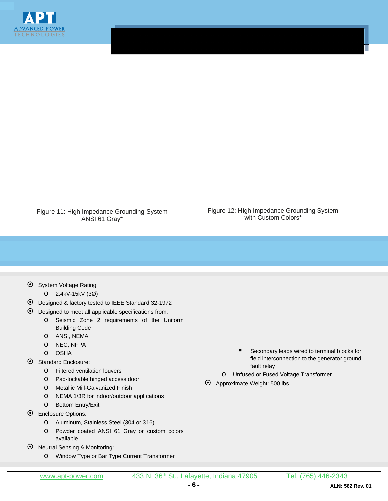

Figure 11: High Impedance Grounding System ANSI 61 Gray\*

Figure 12: High Impedance Grounding System with Custom Colors\*

- $\odot$  System Voltage Rating:
	- o 2.4kV-15kV (3Ø)
- Designed & factory tested to IEEE Standard 32-1972
- $\odot$  Designed to meet all applicable specifications from:
	- o Seismic Zone 2 requirements of the Uniform Building Code
	- o ANSI, NEMA
	- o NEC, NFPA
	- o OSHA
- Standard Enclosure:
	- o Filtered ventilation louvers
	- o Pad-lockable hinged access door
	- o Metallic Mill-Galvanized Finish
	- o NEMA 1/3R for indoor/outdoor applications
- o Bottom Entry/Exit
- Enclosure Options:
	- o Aluminum, Stainless Steel (304 or 316)
	- o Powder coated ANSI 61 Gray or custom colors available.
- Neutral Sensing & Monitoring:
	- o Window Type or Bar Type Current Transformer
- Secondary leads wired to terminal blocks for field interconnection to the generator ground fault relay
- o Unfused or Fused Voltage Transformer
- Approximate Weight: 500 lbs.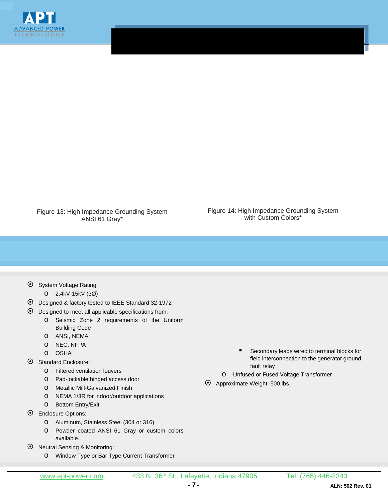

Figure 13: High Impedance Grounding System ANSI 61 Gray\*

Figure 14: High Impedance Grounding System with Custom Colors\*

- $\odot$  System Voltage Rating:
	- o 2.4kV-15kV (3Ø)
- Designed & factory tested to IEEE Standard 32-1972
- $\odot$  Designed to meet all applicable specifications from:
	- o Seismic Zone 2 requirements of the Uniform Building Code
	- o ANSI, NEMA
	- o NEC, NFPA
	- o OSHA
- Standard Enclosure:
	- o Filtered ventilation louvers
	- o Pad-lockable hinged access door
	- o Metallic Mill-Galvanized Finish
	- o NEMA 1/3R for indoor/outdoor applications
	- o Bottom Entry/Exit
- $\odot$  Enclosure Options:
	- o Aluminum, Stainless Steel (304 or 316)
	- o Powder coated ANSI 61 Gray or custom colors available.
- Neutral Sensing & Monitoring:
	- o Window Type or Bar Type Current Transformer
- Secondary leads wired to terminal blocks for field interconnection to the generator ground fault relay
- o Unfused or Fused Voltage Transformer
- Approximate Weight: 500 lbs.